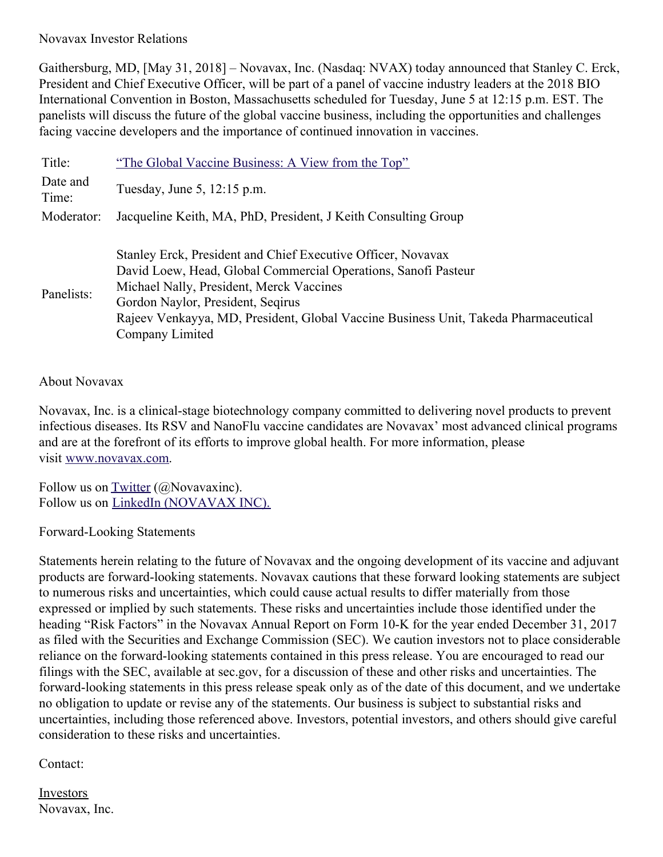## Novavax Investor Relations

Gaithersburg, MD, [May 31, 2018] – Novavax, Inc. (Nasdaq: NVAX) today announced that Stanley C. Erck, President and Chief Executive Officer, will be part of a panel of vaccine industry leaders at the 2018 BIO International Convention in Boston, Massachusetts scheduled for Tuesday, June 5 at 12:15 p.m. EST. The panelists will discuss the future of the global vaccine business, including the opportunities and challenges facing vaccine developers and the importance of continued innovation in vaccines.

| Title:            | "The Global Vaccine Business: A View from the Top"                                                                                                                                                                                                                                                                        |
|-------------------|---------------------------------------------------------------------------------------------------------------------------------------------------------------------------------------------------------------------------------------------------------------------------------------------------------------------------|
| Date and<br>Time: | Tuesday, June 5, 12:15 p.m.                                                                                                                                                                                                                                                                                               |
| Moderator:        | Jacqueline Keith, MA, PhD, President, J Keith Consulting Group                                                                                                                                                                                                                                                            |
| Panelists:        | Stanley Erck, President and Chief Executive Officer, Novavax<br>David Loew, Head, Global Commercial Operations, Sanofi Pasteur<br>Michael Nally, President, Merck Vaccines<br>Gordon Naylor, President, Segirus<br>Rajeev Venkayya, MD, President, Global Vaccine Business Unit, Takeda Pharmaceutical<br>Company Limited |

## About Novavax

Novavax, Inc. is a clinical-stage biotechnology company committed to delivering novel products to prevent infectious diseases. Its RSV and NanoFlu vaccine candidates are Novavax' most advanced clinical programs and are at the forefront of its efforts to improve global health. For more information, please visit [www.novavax.com](https://www.novavax.com/).

Follow us on  $Twitter$  ( $@$ Novavaxinc). Follow us on LinkedIn [\(NOVAVAX](https://www.linkedin.com/company/novavax/) INC).

Forward-Looking Statements

Statements herein relating to the future of Novavax and the ongoing development of its vaccine and adjuvant products are forward-looking statements. Novavax cautions that these forward looking statements are subject to numerous risks and uncertainties, which could cause actual results to differ materially from those expressed or implied by such statements. These risks and uncertainties include those identified under the heading "Risk Factors" in the Novavax Annual Report on Form 10-K for the year ended December 31, 2017 as filed with the Securities and Exchange Commission (SEC). We caution investors not to place considerable reliance on the forward-looking statements contained in this press release. You are encouraged to read our filings with the SEC, available at sec.gov, for a discussion of these and other risks and uncertainties. The forward-looking statements in this press release speak only as of the date of this document, and we undertake no obligation to update or revise any of the statements. Our business is subject to substantial risks and uncertainties, including those referenced above. Investors, potential investors, and others should give careful consideration to these risks and uncertainties.

## Contact:

Investors Novavax, Inc.